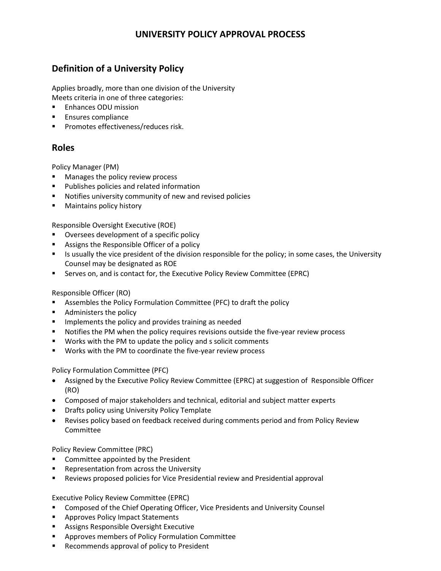## **UNIVERSITY POLICY APPROVAL PROCESS**

# **Definition of a University Policy**

Applies broadly, more than one division of the University Meets criteria in one of three categories:

- Enhances ODU mission
- **Ensures compliance**
- **Promotes effectiveness/reduces risk.**

### **Roles**

Policy Manager (PM)

- **Manages the policy review process**
- **Publishes policies and related information**
- Notifies university community of new and revised policies
- **Maintains policy history**

Responsible Oversight Executive (ROE)

- **Oversees development of a specific policy**
- **Assigns the Responsible Officer of a policy**
- Is usually the vice president of the division responsible for the policy; in some cases, the University Counsel may be designated as ROE
- **Serves on, and is contact for, the Executive Policy Review Committee (EPRC)**

#### Responsible Officer (RO)

- Assembles the Policy Formulation Committee (PFC) to draft the policy
- **Administers the policy**
- Implements the policy and provides training as needed
- **Notifies the PM when the policy requires revisions outside the five-year review process**
- **Works with the PM to update the policy and s solicit comments**
- **Works with the PM to coordinate the five-year review process**

Policy Formulation Committee (PFC)

- Assigned by the Executive Policy Review Committee (EPRC) at suggestion of Responsible Officer (RO)
- Composed of major stakeholders and technical, editorial and subject matter experts
- Drafts policy using University Policy Template
- Revises policy based on feedback received during comments period and from Policy Review Committee

Policy Review Committee (PRC)

- **EXEDENT** Committee appointed by the President
- **Representation from across the University**
- **EXECT** Reviews proposed policies for Vice Presidential review and Presidential approval

Executive Policy Review Committee (EPRC)

- Composed of the Chief Operating Officer, Vice Presidents and University Counsel
- **Approves Policy Impact Statements**
- **Assigns Responsible Oversight Executive**
- **EXP** Approves members of Policy Formulation Committee
- **Recommends approval of policy to President**